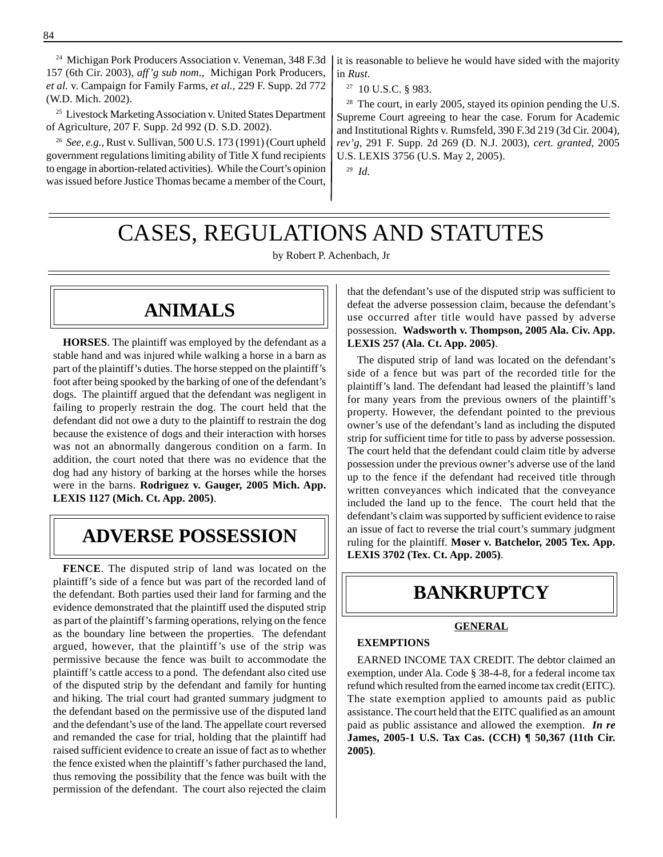24 Michigan Pork Producers Association v. Veneman, 348 F.3d 157 (6th Cir. 2003), *aff'g sub nom*., Michigan Pork Producers, *et al.* v. Campaign for Family Farms, *et al.,* 229 F. Supp. 2d 772 (W.D. Mich. 2002).

<sup>25</sup> Livestock Marketing Association v. United States Department of Agriculture, 207 F. Supp. 2d 992 (D. S.D. 2002).

<sup>26</sup>*See, e.g.,* Rust v. Sullivan, 500 U.S. 173 (1991) (Court upheld government regulations limiting ability of Title X fund recipients to engage in abortion-related activities). While the Court's opinion was issued before Justice Thomas became a member of the Court,

it is reasonable to believe he would have sided with the majority in *Rust*.

27 10 U.S.C. § 983.

<sup>28</sup> The court, in early 2005, stayed its opinion pending the U.S. Supreme Court agreeing to hear the case. Forum for Academic and Institutional Rights v. Rumsfeld, 390 F.3d 219 (3d Cir. 2004), *rev'g,* 291 F. Supp. 2d 269 (D. N.J. 2003), *cert. granted*, 2005 U.S. LEXIS 3756 (U.S. May 2, 2005).

<sup>29</sup>*Id.* 

# CASES, REGULATIONS AND STATUTES

by Robert P. Achenbach, Jr

### **ANIMALS**

**HORSES**. The plaintiff was employed by the defendant as a stable hand and was injured while walking a horse in a barn as part of the plaintiff's duties. The horse stepped on the plaintiff's foot after being spooked by the barking of one of the defendant's dogs. The plaintiff argued that the defendant was negligent in failing to properly restrain the dog. The court held that the defendant did not owe a duty to the plaintiff to restrain the dog because the existence of dogs and their interaction with horses was not an abnormally dangerous condition on a farm. In addition, the court noted that there was no evidence that the dog had any history of barking at the horses while the horses were in the barns. **Rodriguez v. Gauger, 2005 Mich. App. LEXIS 1127 (Mich. Ct. App. 2005)**.

### **ADVERSE POSSESSION**

**FENCE**. The disputed strip of land was located on the plaintiff's side of a fence but was part of the recorded land of the defendant. Both parties used their land for farming and the evidence demonstrated that the plaintiff used the disputed strip as part of the plaintiff's farming operations, relying on the fence as the boundary line between the properties. The defendant argued, however, that the plaintiff's use of the strip was permissive because the fence was built to accommodate the plaintiff's cattle access to a pond. The defendant also cited use of the disputed strip by the defendant and family for hunting and hiking. The trial court had granted summary judgment to the defendant based on the permissive use of the disputed land and the defendant's use of the land. The appellate court reversed and remanded the case for trial, holding that the plaintiff had raised sufficient evidence to create an issue of fact as to whether the fence existed when the plaintiff's father purchased the land, thus removing the possibility that the fence was built with the permission of the defendant. The court also rejected the claim that the defendant's use of the disputed strip was sufficient to defeat the adverse possession claim, because the defendant's use occurred after title would have passed by adverse possession. **Wadsworth v. Thompson, 2005 Ala. Civ. App. LEXIS 257 (Ala. Ct. App. 2005)**.

The disputed strip of land was located on the defendant's side of a fence but was part of the recorded title for the plaintiff's land. The defendant had leased the plaintiff's land for many years from the previous owners of the plaintiff's property. However, the defendant pointed to the previous owner's use of the defendant's land as including the disputed strip for sufficient time for title to pass by adverse possession. The court held that the defendant could claim title by adverse possession under the previous owner's adverse use of the land up to the fence if the defendant had received title through written conveyances which indicated that the conveyance included the land up to the fence. The court held that the defendant's claim was supported by sufficient evidence to raise an issue of fact to reverse the trial court's summary judgment ruling for the plaintiff. **Moser v. Batchelor, 2005 Tex. App. LEXIS 3702 (Tex. Ct. App. 2005)**.

# **BANKRUPTCY**

### **GENERAL**

### **EXEMPTIONS**

EARNED INCOME TAX CREDIT. The debtor claimed an exemption, under Ala. Code § 38-4-8, for a federal income tax refund which resulted from the earned income tax credit (EITC). The state exemption applied to amounts paid as public assistance. The court held that the EITC qualified as an amount paid as public assistance and allowed the exemption. *In re*  **James, 2005-1 U.S. Tax Cas. (CCH) ¶ 50,367 (11th Cir. 2005)**.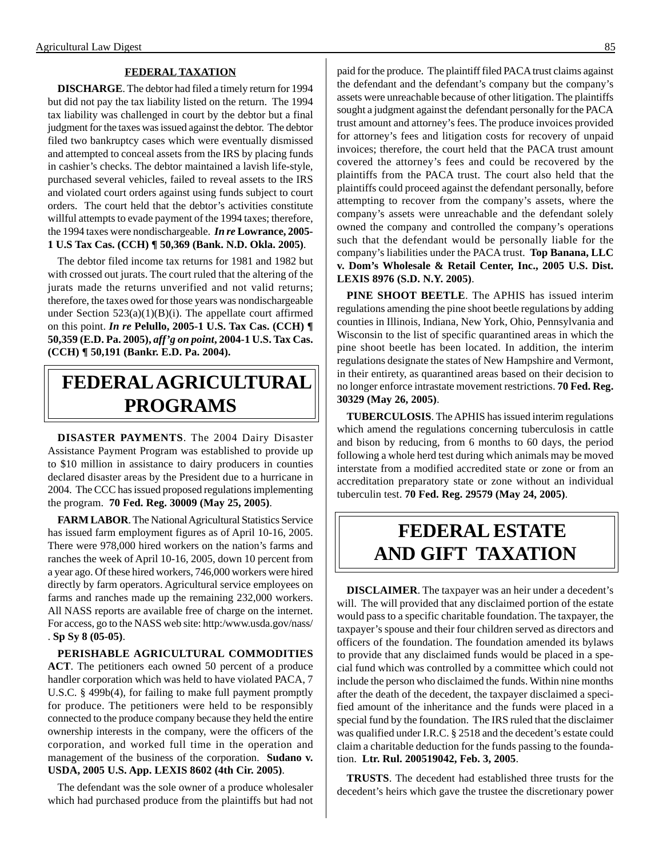### **FEDERAL TAXATION**

**DISCHARGE**. The debtor had filed a timely return for 1994 but did not pay the tax liability listed on the return. The 1994 tax liability was challenged in court by the debtor but a final judgment for the taxes was issued against the debtor. The debtor filed two bankruptcy cases which were eventually dismissed and attempted to conceal assets from the IRS by placing funds in cashier's checks. The debtor maintained a lavish life-style, purchased several vehicles, failed to reveal assets to the IRS and violated court orders against using funds subject to court orders. The court held that the debtor's activities constitute willful attempts to evade payment of the 1994 taxes; therefore, the 1994 taxes were nondischargeable. *In re* **Lowrance, 2005 1 U.S Tax Cas. (CCH) ¶ 50,369 (Bank. N.D. Okla. 2005)**.

The debtor filed income tax returns for 1981 and 1982 but with crossed out jurats. The court ruled that the altering of the jurats made the returns unverified and not valid returns; therefore, the taxes owed for those years was nondischargeable under Section  $523(a)(1)(B)(i)$ . The appellate court affirmed on this point. *In re* **Pelullo, 2005-1 U.S. Tax Cas. (CCH) ¶ 50,359 (E.D. Pa. 2005),** *aff'g on point***, 2004-1 U.S. Tax Cas. (CCH) ¶ 50,191 (Bankr. E.D. Pa. 2004).**

# **FEDERAL AGRICULTURAL PROGRAMS**

**DISASTER PAYMENTS**. The 2004 Dairy Disaster Assistance Payment Program was established to provide up to \$10 million in assistance to dairy producers in counties declared disaster areas by the President due to a hurricane in 2004. The CCC has issued proposed regulations implementing the program. **70 Fed. Reg. 30009 (May 25, 2005)**.

**FARM LABOR**. The National Agricultural Statistics Service has issued farm employment figures as of April 10-16, 2005. There were 978,000 hired workers on the nation's farms and ranches the week of April 10-16, 2005, down 10 percent from a year ago. Of these hired workers, 746,000 workers were hired directly by farm operators. Agricultural service employees on farms and ranches made up the remaining 232,000 workers. All NASS reports are available free of charge on the internet. For access, go to the NASS web site: http:/www.usda.gov/nass/ . **Sp Sy 8 (05-05)**.

**PERISHABLE AGRICULTURAL COMMODITIES ACT**. The petitioners each owned 50 percent of a produce handler corporation which was held to have violated PACA, 7 U.S.C. § 499b(4), for failing to make full payment promptly for produce. The petitioners were held to be responsibly connected to the produce company because they held the entire ownership interests in the company, were the officers of the corporation, and worked full time in the operation and management of the business of the corporation. **Sudano v. USDA, 2005 U.S. App. LEXIS 8602 (4th Cir. 2005)**.

The defendant was the sole owner of a produce wholesaler which had purchased produce from the plaintiffs but had not paid for the produce. The plaintiff filed PACA trust claims against the defendant and the defendant's company but the company's assets were unreachable because of other litigation. The plaintiffs sought a judgment against the defendant personally for the PACA trust amount and attorney's fees. The produce invoices provided for attorney's fees and litigation costs for recovery of unpaid invoices; therefore, the court held that the PACA trust amount covered the attorney's fees and could be recovered by the plaintiffs from the PACA trust. The court also held that the plaintiffs could proceed against the defendant personally, before attempting to recover from the company's assets, where the company's assets were unreachable and the defendant solely owned the company and controlled the company's operations such that the defendant would be personally liable for the company's liabilities under the PACA trust. **Top Banana, LLC v. Dom's Wholesale & Retail Center, Inc., 2005 U.S. Dist. LEXIS 8976 (S.D. N.Y. 2005)**.

**PINE SHOOT BEETLE**. The APHIS has issued interim regulations amending the pine shoot beetle regulations by adding counties in Illinois, Indiana, New York, Ohio, Pennsylvania and Wisconsin to the list of specific quarantined areas in which the pine shoot beetle has been located. In addition, the interim regulations designate the states of New Hampshire and Vermont, in their entirety, as quarantined areas based on their decision to no longer enforce intrastate movement restrictions. **70 Fed. Reg. 30329 (May 26, 2005)**.

**TUBERCULOSIS**. The APHIS has issued interim regulations which amend the regulations concerning tuberculosis in cattle and bison by reducing, from 6 months to 60 days, the period following a whole herd test during which animals may be moved interstate from a modified accredited state or zone or from an accreditation preparatory state or zone without an individual tuberculin test. **70 Fed. Reg. 29579 (May 24, 2005)**.

## **FEDERAL ESTATE AND GIFT TAXATION**

**DISCLAIMER**. The taxpayer was an heir under a decedent's will. The will provided that any disclaimed portion of the estate would pass to a specific charitable foundation. The taxpayer, the taxpayer's spouse and their four children served as directors and officers of the foundation. The foundation amended its bylaws to provide that any disclaimed funds would be placed in a special fund which was controlled by a committee which could not include the person who disclaimed the funds. Within nine months after the death of the decedent, the taxpayer disclaimed a specified amount of the inheritance and the funds were placed in a special fund by the foundation. The IRS ruled that the disclaimer was qualified under I.R.C. § 2518 and the decedent's estate could claim a charitable deduction for the funds passing to the foundation. **Ltr. Rul. 200519042, Feb. 3, 2005**.

**TRUSTS**. The decedent had established three trusts for the decedent's heirs which gave the trustee the discretionary power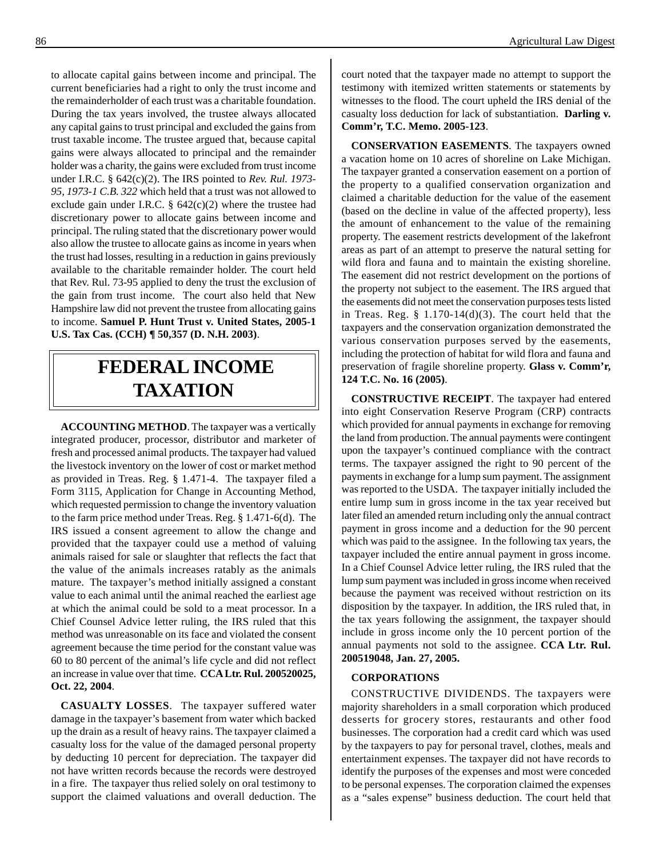to allocate capital gains between income and principal. The current beneficiaries had a right to only the trust income and the remainderholder of each trust was a charitable foundation. During the tax years involved, the trustee always allocated any capital gains to trust principal and excluded the gains from trust taxable income. The trustee argued that, because capital gains were always allocated to principal and the remainder holder was a charity, the gains were excluded from trust income under I.R.C. § 642(c)(2). The IRS pointed to *Rev. Rul. 1973 95, 1973-1 C.B. 322* which held that a trust was not allowed to exclude gain under I.R.C.  $\S$  642(c)(2) where the trustee had discretionary power to allocate gains between income and principal. The ruling stated that the discretionary power would also allow the trustee to allocate gains as income in years when the trust had losses, resulting in a reduction in gains previously available to the charitable remainder holder. The court held that Rev. Rul. 73-95 applied to deny the trust the exclusion of the gain from trust income. The court also held that New Hampshire law did not prevent the trustee from allocating gains to income. **Samuel P. Hunt Trust v. United States, 2005-1 U.S. Tax Cas. (CCH) ¶ 50,357 (D. N.H. 2003)**.

# **FEDERAL INCOME TAXATION**

**ACCOUNTING METHOD**. The taxpayer was a vertically integrated producer, processor, distributor and marketer of fresh and processed animal products. The taxpayer had valued the livestock inventory on the lower of cost or market method as provided in Treas. Reg. § 1.471-4. The taxpayer filed a Form 3115, Application for Change in Accounting Method, which requested permission to change the inventory valuation to the farm price method under Treas. Reg. § 1.471-6(d). The IRS issued a consent agreement to allow the change and provided that the taxpayer could use a method of valuing animals raised for sale or slaughter that reflects the fact that the value of the animals increases ratably as the animals mature. The taxpayer's method initially assigned a constant value to each animal until the animal reached the earliest age at which the animal could be sold to a meat processor. In a Chief Counsel Advice letter ruling, the IRS ruled that this method was unreasonable on its face and violated the consent agreement because the time period for the constant value was 60 to 80 percent of the animal's life cycle and did not reflect an increase in value over that time. **CCA Ltr. Rul. 200520025, Oct. 22, 2004**.

**CASUALTY LOSSES**. The taxpayer suffered water damage in the taxpayer's basement from water which backed up the drain as a result of heavy rains. The taxpayer claimed a casualty loss for the value of the damaged personal property by deducting 10 percent for depreciation. The taxpayer did not have written records because the records were destroyed in a fire. The taxpayer thus relied solely on oral testimony to support the claimed valuations and overall deduction. The court noted that the taxpayer made no attempt to support the testimony with itemized written statements or statements by witnesses to the flood. The court upheld the IRS denial of the casualty loss deduction for lack of substantiation. **Darling v. Comm'r, T.C. Memo. 2005-123**.

**CONSERVATION EASEMENTS**. The taxpayers owned a vacation home on 10 acres of shoreline on Lake Michigan. The taxpayer granted a conservation easement on a portion of the property to a qualified conservation organization and claimed a charitable deduction for the value of the easement (based on the decline in value of the affected property), less the amount of enhancement to the value of the remaining property. The easement restricts development of the lakefront areas as part of an attempt to preserve the natural setting for wild flora and fauna and to maintain the existing shoreline. The easement did not restrict development on the portions of the property not subject to the easement. The IRS argued that the easements did not meet the conservation purposes tests listed in Treas. Reg.  $\S$  1.170-14(d)(3). The court held that the taxpayers and the conservation organization demonstrated the various conservation purposes served by the easements, including the protection of habitat for wild flora and fauna and preservation of fragile shoreline property. **Glass v. Comm'r, 124 T.C. No. 16 (2005)**.

**CONSTRUCTIVE RECEIPT**. The taxpayer had entered into eight Conservation Reserve Program (CRP) contracts which provided for annual payments in exchange for removing the land from production. The annual payments were contingent upon the taxpayer's continued compliance with the contract terms. The taxpayer assigned the right to 90 percent of the payments in exchange for a lump sum payment. The assignment was reported to the USDA. The taxpayer initially included the entire lump sum in gross income in the tax year received but later filed an amended return including only the annual contract payment in gross income and a deduction for the 90 percent which was paid to the assignee. In the following tax years, the taxpayer included the entire annual payment in gross income. In a Chief Counsel Advice letter ruling, the IRS ruled that the lump sum payment was included in gross income when received because the payment was received without restriction on its disposition by the taxpayer. In addition, the IRS ruled that, in the tax years following the assignment, the taxpayer should include in gross income only the 10 percent portion of the annual payments not sold to the assignee. **CCA Ltr. Rul. 200519048, Jan. 27, 2005.** 

### **CORPORATIONS**

CONSTRUCTIVE DIVIDENDS. The taxpayers were majority shareholders in a small corporation which produced desserts for grocery stores, restaurants and other food businesses. The corporation had a credit card which was used by the taxpayers to pay for personal travel, clothes, meals and entertainment expenses. The taxpayer did not have records to identify the purposes of the expenses and most were conceded to be personal expenses. The corporation claimed the expenses as a "sales expense" business deduction. The court held that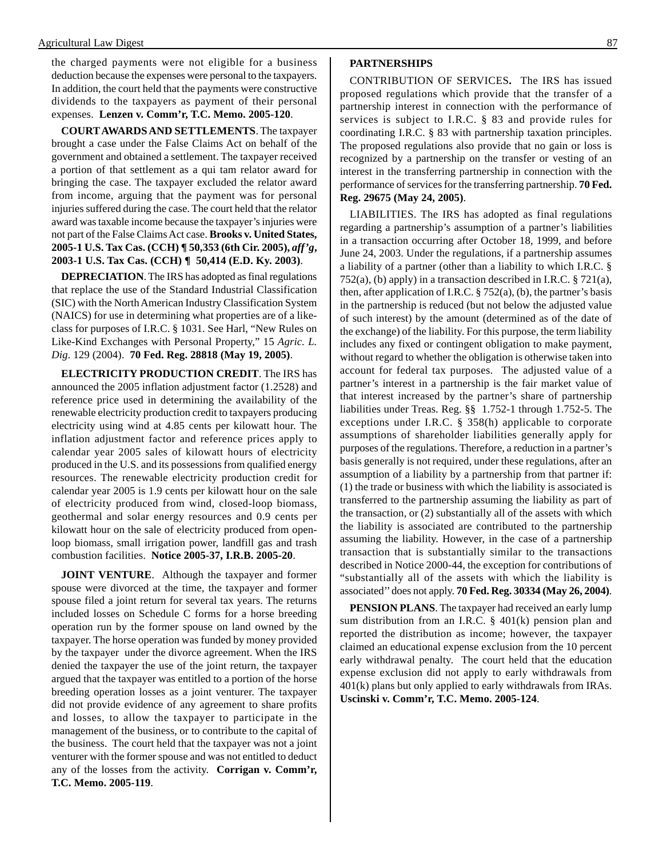the charged payments were not eligible for a business deduction because the expenses were personal to the taxpayers. In addition, the court held that the payments were constructive dividends to the taxpayers as payment of their personal expenses. **Lenzen v. Comm'r, T.C. Memo. 2005-120**.

**COURT AWARDS AND SETTLEMENTS**. The taxpayer brought a case under the False Claims Act on behalf of the government and obtained a settlement. The taxpayer received a portion of that settlement as a qui tam relator award for bringing the case. The taxpayer excluded the relator award from income, arguing that the payment was for personal injuries suffered during the case. The court held that the relator award was taxable income because the taxpayer's injuries were not part of the False Claims Act case. **Brooks v. United States, 2005-1 U.S. Tax Cas. (CCH) ¶ 50,353 (6th Cir. 2005),** *aff'g***, 2003-1 U.S. Tax Cas. (CCH) ¶ 50,414 (E.D. Ky. 2003)**.

**DEPRECIATION**. The IRS has adopted as final regulations that replace the use of the Standard Industrial Classification (SIC) with the North American Industry Classification System (NAICS) for use in determining what properties are of a likeclass for purposes of I.R.C. § 1031. See Harl, "New Rules on Like-Kind Exchanges with Personal Property," 15 *Agric. L. Dig*. 129 (2004). **70 Fed. Reg. 28818 (May 19, 2005)**.

**ELECTRICITY PRODUCTION CREDIT**. The IRS has announced the 2005 inflation adjustment factor (1.2528) and reference price used in determining the availability of the renewable electricity production credit to taxpayers producing electricity using wind at 4.85 cents per kilowatt hour. The inflation adjustment factor and reference prices apply to calendar year 2005 sales of kilowatt hours of electricity produced in the U.S. and its possessions from qualified energy resources. The renewable electricity production credit for calendar year 2005 is 1.9 cents per kilowatt hour on the sale of electricity produced from wind, closed-loop biomass, geothermal and solar energy resources and 0.9 cents per kilowatt hour on the sale of electricity produced from openloop biomass, small irrigation power, landfill gas and trash combustion facilities. **Notice 2005-37, I.R.B. 2005-20**.

**JOINT VENTURE.** Although the taxpayer and former spouse were divorced at the time, the taxpayer and former spouse filed a joint return for several tax years. The returns included losses on Schedule C forms for a horse breeding operation run by the former spouse on land owned by the taxpayer. The horse operation was funded by money provided by the taxpayer under the divorce agreement. When the IRS denied the taxpayer the use of the joint return, the taxpayer argued that the taxpayer was entitled to a portion of the horse breeding operation losses as a joint venturer. The taxpayer did not provide evidence of any agreement to share profits and losses, to allow the taxpayer to participate in the management of the business, or to contribute to the capital of the business. The court held that the taxpayer was not a joint venturer with the former spouse and was not entitled to deduct any of the losses from the activity. **Corrigan v. Comm'r, T.C. Memo. 2005-119**.

#### **PARTNERSHIPS**

CONTRIBUTION OF SERVICES**.** The IRS has issued proposed regulations which provide that the transfer of a partnership interest in connection with the performance of services is subject to I.R.C. § 83 and provide rules for coordinating I.R.C. § 83 with partnership taxation principles. The proposed regulations also provide that no gain or loss is recognized by a partnership on the transfer or vesting of an interest in the transferring partnership in connection with the performance of services for the transferring partnership. **70 Fed. Reg. 29675 (May 24, 2005)**.

LIABILITIES. The IRS has adopted as final regulations regarding a partnership's assumption of a partner's liabilities in a transaction occurring after October 18, 1999, and before June 24, 2003. Under the regulations, if a partnership assumes a liability of a partner (other than a liability to which I.R.C. § 752(a), (b) apply) in a transaction described in I.R.C. § 721(a), then, after application of I.R.C.  $\S 752(a)$ , (b), the partner's basis in the partnership is reduced (but not below the adjusted value of such interest) by the amount (determined as of the date of the exchange) of the liability. For this purpose, the term liability includes any fixed or contingent obligation to make payment, without regard to whether the obligation is otherwise taken into account for federal tax purposes. The adjusted value of a partner's interest in a partnership is the fair market value of that interest increased by the partner's share of partnership liabilities under Treas. Reg. §§ 1.752-1 through 1.752-5. The exceptions under I.R.C. § 358(h) applicable to corporate assumptions of shareholder liabilities generally apply for purposes of the regulations. Therefore, a reduction in a partner's basis generally is not required, under these regulations, after an assumption of a liability by a partnership from that partner if: (1) the trade or business with which the liability is associated is transferred to the partnership assuming the liability as part of the transaction, or (2) substantially all of the assets with which the liability is associated are contributed to the partnership assuming the liability. However, in the case of a partnership transaction that is substantially similar to the transactions described in Notice 2000-44, the exception for contributions of "substantially all of the assets with which the liability is associated'' does not apply. **70 Fed. Reg. 30334 (May 26, 2004)**.

**PENSION PLANS**. The taxpayer had received an early lump sum distribution from an I.R.C.  $\S$  401(k) pension plan and reported the distribution as income; however, the taxpayer claimed an educational expense exclusion from the 10 percent early withdrawal penalty. The court held that the education expense exclusion did not apply to early withdrawals from 401(k) plans but only applied to early withdrawals from IRAs. **Uscinski v. Comm'r, T.C. Memo. 2005-124**.